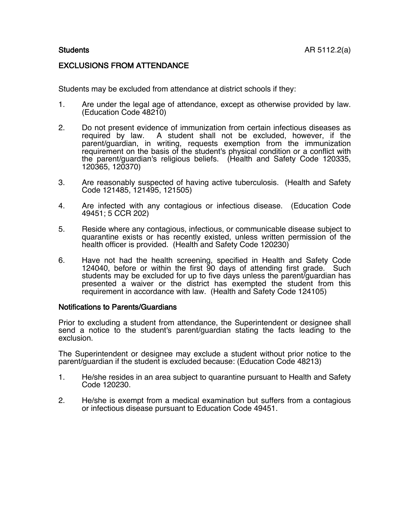## EXCLUSIONS FROM ATTENDANCE

Students may be excluded from attendance at district schools if they:

- 1. Are under the legal age of attendance, except as otherwise provided by law. (Education Code 48210)
- 2. Do not present evidence of immunization from certain infectious diseases as required by law. A student shall not be excluded, however, if the A student shall not be excluded, however, if the parent/guardian, in writing, requests exemption from the immunization requirement on the basis of the student's physical condition or a conflict with the parent/guardian's religious beliefs. (Health and Safety Code 120335, 120365, 120370)
- 3. Are reasonably suspected of having active tuberculosis. (Health and Safety Code 121485, 121495, 121505)
- 4. Are infected with any contagious or infectious disease. (Education Code 49451; 5 CCR 202)
- 5. Reside where any contagious, infectious, or communicable disease subject to quarantine exists or has recently existed, unless written permission of the health officer is provided. (Health and Safety Code 120230)
- 6. Have not had the health screening, specified in Health and Safety Code 124040, before or within the first 90 days of attending first grade. Such students may be excluded for up to five days unless the parent/guardian has presented a waiver or the district has exempted the student from this requirement in accordance with law. (Health and Safety Code 124105)

## Notifications to Parents/Guardians

Prior to excluding a student from attendance, the Superintendent or designee shall send a notice to the student's parent/guardian stating the facts leading to the exclusion.

The Superintendent or designee may exclude a student without prior notice to the parent/guardian if the student is excluded because: (Education Code 48213)

- 1. He/she resides in an area subject to quarantine pursuant to Health and Safety Code 120230.
- 2. He/she is exempt from a medical examination but suffers from a contagious or infectious disease pursuant to Education Code 49451.